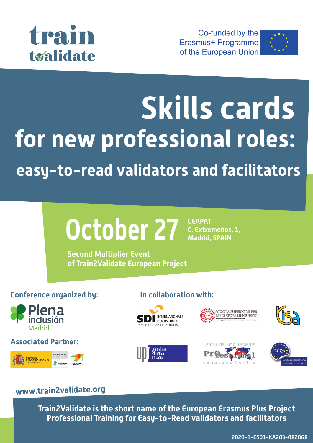

Co-funded by the **Erasmus+ Programme** of the European Union



# **Skills cards for new professional roles: easy-to-read validators and facilitators**

#### **October 27 CEAPAT C. Extremeños, 1, Madrid, SPAIN**

**Second Multiplier Event of Train2Validate European Project**

## **Conference organized by: In collaboration with:**



**Associated Partner:**















## **www.train2validate.org**

**Train2Validate is the short name of the European Erasmus Plus Project Professional Training for Easy-to-Read validators and facilitators**

**2020-1-ES01-KA203-082068**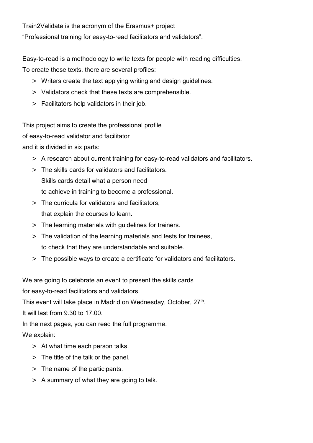Train2Validate is the acronym of the Erasmus+ project "Professional training for easy-to-read facilitators and validators".

Easy-to-read is a methodology to write texts for people with reading difficulties.

To create these texts, there are several profiles:

- > Writers create the text applying writing and design guidelines.
- > Validators check that these texts are comprehensible.
- > Facilitators help validators in their job.

This project aims to create the professional profile

of easy-to-read validator and facilitator

and it is divided in six parts:

- > A research about current training for easy-to-read validators and facilitators.
- > The skills cards for validators and facilitators. Skills cards detail what a person need to achieve in training to become a professional.
- > The curricula for validators and facilitators, that explain the courses to learn.
- > The learning materials with guidelines for trainers.
- > The validation of the learning materials and tests for trainees, to check that they are understandable and suitable.
- > The possible ways to create a certificate for validators and facilitators.

We are going to celebrate an event to present the skills cards

for easy-to-read facilitators and validators.

This event will take place in Madrid on Wednesday, October, 27<sup>th</sup>.

It will last from 9.30 to 17.00.

In the next pages, you can read the full programme.

We explain:

- > At what time each person talks.
- > The title of the talk or the panel.
- > The name of the participants.
- > A summary of what they are going to talk.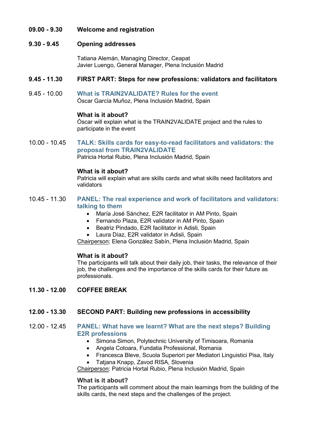#### **09.00 - 9.30 Welcome and registration**

#### **9.30 - 9.45 Opening addresses**

Tatiana Alemán, Managing Director, Ceapat Javier Luengo, General Manager, Plena Inclusión Madrid

#### **9.45 - 11.30 FIRST PART: Steps for new professions: validators and facilitators**

9.45 - 10.00 **What is TRAIN2VALIDATE? Rules for the event**  Óscar García Muñoz, Plena Inclusión Madrid, Spain

#### **What is it about?**

Óscar will explain what is the TRAIN2VALIDATE project and the rules to participate in the event

10.00 - 10.45 **TALK: Skills cards for easy-to-read facilitators and validators: the proposal from TRAIN2VALIDATE**

Patricia Hortal Rubio, Plena Inclusión Madrid, Spain

#### **What is it about?**

Patricia will explain what are skills cards and what skills need facilitators and validators

- 10.45 11.30 **PANEL: The real experience and work of facilitators and validators: talking to them**
	- María José Sánchez, E2R facilitator in AM Pinto, Spain
	- Fernando Plaza, E2R validator in AM Pinto, Spain
	- Beatriz Pindado, E2R facilitator in Adisli, Spain
	- Laura Díaz, E2R validator in Adisli, Spain

Chairperson: Elena González Sabín, Plena Inclusión Madrid, Spain

#### **What is it about?**

The participants will talk about their daily job, their tasks, the relevance of their job, the challenges and the importance of the skills cards for their future as professionals.

**11.30 - 12.00 COFFEE BREAK**

#### **12.00 - 13.30 SECOND PART: Building new professions in accessibility**

- 12.00 12.45 **PANEL: What have we learnt? What are the next steps? Building E2R professions**
	- Simona Simon, Polytechnic University of Timisoara, Romania
	- Angela Cotoara, Fundatia Professional, Romania
	- Francesca Bleve, Scuola Superiori per Mediatori Linguistici Pisa, Italy
	- Tatjana Knapp, Zavod RISA, Slovenia

Chairperson: Patricia Hortal Rubio, Plena Inclusión Madrid, Spain

#### **What is it about?**

The participants will comment about the main learnings from the building of the skills cards, the next steps and the challenges of the project.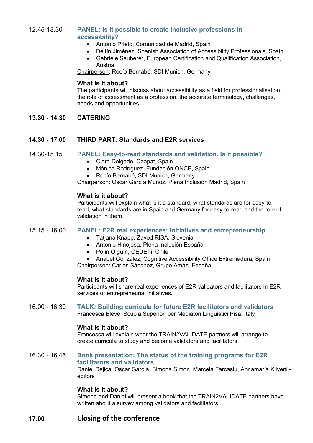#### 12.45-13.30 **PANEL: Is it possible to create inclusive professions in accessibility?**

- Antonio Prieto, Comunidad de Madrid, Spain
- Delfín Jiménez, Spanish Association of Accessibility Professionals, Spain
- Gabriele Sauberer, European Certification and Qualification Association, Austria

Chairperson: Rocío Bernabé, SDI Munich, Germany

#### **What is it about?**

The participants will discuss about accessibility as a field for professionalisation, the role of assessment as a profession, the accurate terminology, challenges, needs and opportunities.

**13.30 - 14.30 CATERING**

#### **14.30 - 17.00 THIRD PART: Standards and E2R services**

#### 14.30-15.15 **PANEL: Easy-to-read standards and validation. Is it possible?**

- Clara Delgado, Ceapat, Spain
- Mónica Rodríguez, Fundación ONCE, Spain
- Rocío Bernabé, SDI Munich, Germany

Chairperson: Óscar García Muñoz, Plena Inclusión Madrid, Spain

#### **What is it about?**

Participants will explain what is it a standard, what standards are for easy-toread, what standards are in Spain and Germany for easy-to-read and the role of validation in them.

#### 15.15 - 16.00 **PANEL: E2R real experiences: initiatives and entrepreneurship**

- Tatjana Knapp, Zavod RISA, Slovenia
- Antonio Hinojosa, Plena Inclusión España
- Polín Olguín, CEDETi, Chile
- Anabel González, Cognitive Accessibility Office Extremadura, Spain

Chairperson: Carlos Sánchez, Grupo Amás, España

#### **What is it about?**

Participants will share real experiences of E2R validators and facilitators in E2R services or entrepreneurial initiatives.

#### 16.00 - 16.30 **TALK: Building curricula for future E2R facilitators and validators** Francesca Bleve, Scuola Superiori per Mediatori Linguistici Pisa, Italy

#### **What is it about?**

Francesca will explain what the TRAIN2VALIDATE partners will arrange to create curricula to study and become validators and facilitators.

#### 16.30 - 16.45 **Book presentation: The status of the training programs for E2R facilitarors and validators**

Daniel Dejica, Óscar García, Simona Simon, Marcela Farcasiu, Annamaría Kilyeni editors

#### **What is it about?**

Simona and Daniel will present a book that the TRAIN2VALIDATE partners have written about a survey among validators and facilitators.

### **17.00 Closing of the conference**